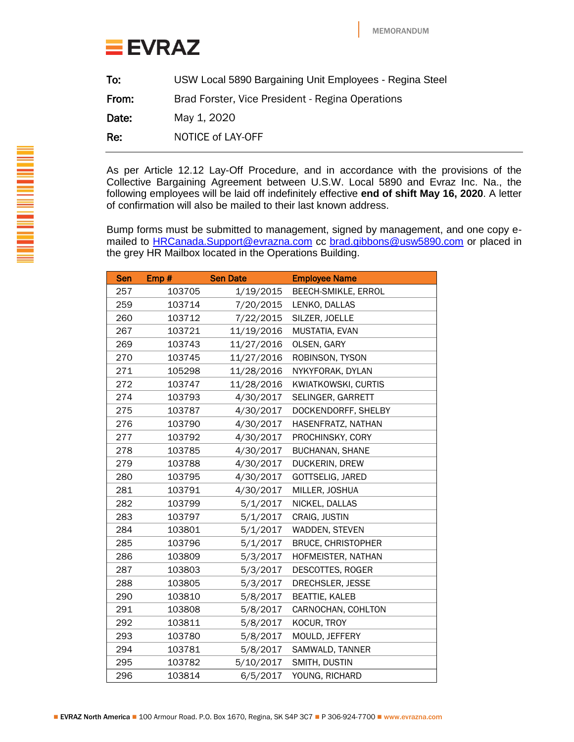

| To:   | USW Local 5890 Bargaining Unit Employees - Regina Steel |
|-------|---------------------------------------------------------|
| From: | Brad Forster, Vice President - Regina Operations        |
| Date: | May 1, 2020                                             |
| Re:   | NOTICE of LAY-OFF                                       |

As per Article 12.12 Lay-Off Procedure, and in accordance with the provisions of the Collective Bargaining Agreement between U.S.W. Local 5890 and Evraz Inc. Na., the following employees will be laid off indefinitely effective **end of shift May 16, 2020**. A letter of confirmation will also be mailed to their last known address.

Bump forms must be submitted to management, signed by management, and one copy emailed to **HRCanada.Support@evrazna.com** cc **brad.gibbons@usw5890.com** or placed in the grey HR Mailbox located in the Operations Building.

| <b>Sen</b> | Emp#   | <b>Sen Date</b> | <b>Employee Name</b>      |
|------------|--------|-----------------|---------------------------|
| 257        | 103705 | 1/19/2015       | BEECH-SMIKLE, ERROL       |
| 259        | 103714 | 7/20/2015       | LENKO, DALLAS             |
| 260        | 103712 | 7/22/2015       | SILZER, JOELLE            |
| 267        | 103721 | 11/19/2016      | MUSTATIA, EVAN            |
| 269        | 103743 | 11/27/2016      | OLSEN, GARY               |
| 270        | 103745 | 11/27/2016      | ROBINSON, TYSON           |
| 271        | 105298 | 11/28/2016      | NYKYFORAK, DYLAN          |
| 272        | 103747 | 11/28/2016      | KWIATKOWSKI, CURTIS       |
| 274        | 103793 | 4/30/2017       | SELINGER, GARRETT         |
| 275        | 103787 | 4/30/2017       | DOCKENDORFF, SHELBY       |
| 276        | 103790 | 4/30/2017       | HASENFRATZ, NATHAN        |
| 277        | 103792 | 4/30/2017       | PROCHINSKY, CORY          |
| 278        | 103785 | 4/30/2017       | <b>BUCHANAN, SHANE</b>    |
| 279        | 103788 | 4/30/2017       | DUCKERIN, DREW            |
| 280        | 103795 | 4/30/2017       | GOTTSELIG, JARED          |
| 281        | 103791 | 4/30/2017       | MILLER, JOSHUA            |
| 282        | 103799 | 5/1/2017        | NICKEL, DALLAS            |
| 283        | 103797 | 5/1/2017        | CRAIG, JUSTIN             |
| 284        | 103801 | 5/1/2017        | WADDEN, STEVEN            |
| 285        | 103796 | 5/1/2017        | <b>BRUCE, CHRISTOPHER</b> |
| 286        | 103809 | 5/3/2017        | HOFMEISTER, NATHAN        |
| 287        | 103803 | 5/3/2017        | DESCOTTES, ROGER          |
| 288        | 103805 | 5/3/2017        | DRECHSLER, JESSE          |
| 290        | 103810 | 5/8/2017        | <b>BEATTIE, KALEB</b>     |
| 291        | 103808 | 5/8/2017        | CARNOCHAN, COHLTON        |
| 292        | 103811 | 5/8/2017        | KOCUR, TROY               |
| 293        | 103780 | 5/8/2017        | MOULD, JEFFERY            |
| 294        | 103781 | 5/8/2017        | SAMWALD, TANNER           |
| 295        | 103782 | 5/10/2017       | SMITH, DUSTIN             |
| 296        | 103814 | 6/5/2017        | YOUNG, RICHARD            |